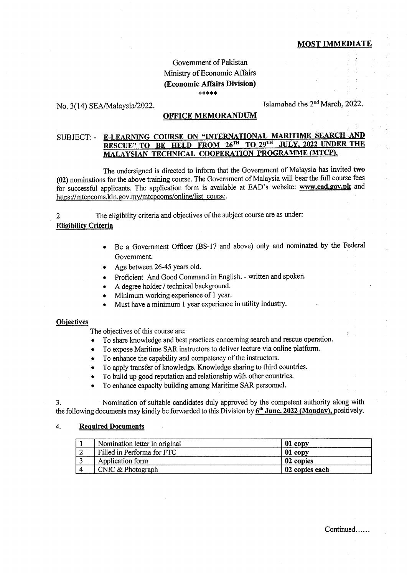## MOST IMMEDIATE

# Govemment of Pakistan Ministry of Economic Affairs (Economic Affairs Division) \*xrk\*\*

# No. 3(14) SEA/Malaysia/2022. Show 1 Islamabad the 2<sup>nd</sup> March, 2022.

### OFFICE MEMORANDUM

#### E-LEARNING COURSE ON "INTERNATIONAL MARITIME SEARCH SUBJECT: - RESCUE" TO BE HELD FROM 26TH TO 29TH **JULY. 2022 UNDER THE** MALAYSIAN TECHNICAL COOPERATION PROGRAMME (MTCP).

The undersigned is directed to inform that the Govemment of Malaysia has invited two (02) nominations for the above training course. The Goverrunent of Malaysia will bear the fuIl course fees for successful applicants. The application form is available at EAD's website: www.ead.gov.pk and https://mtcpcoms.kln.gov.my/mtcpcoms/online/list-course.

2 The eligibility criteria and objectives of the subject course are as under: Elieibilitv Criteria

- Be a Government Officer (BS-17 and above) only and nominated by the Federal Govemment.
- . Age between 26-45 years old.
- Proficient And Good Command in English. written and spoken.
- A degree holder / technical background.
- Minimum working experience of 1 year.
- Must have a minimum 1 year experience in utility industry.

#### **Objectives**

The objectives of this course are:

- To share knowledge and best practices concerning search and rescue operation.
- To expose Maritime SAR instructors to deliver lecture via online platform.
- To enhance the capability and competency of the instructors.
- To apply transfer of knowledge. Knowledge sharing to third countries.
- To build up good reputation and relationship with other countries.
- To enhance capacity building among Maritime SAR personnel.

3. Nomination of suitable candidates duly approved by the competent authority along with the following documents may kindly be forwarded to this Division by  $6<sup>th</sup>$  June, 2022 (Monday), positively.

#### 4. Required Documents

| Nomination letter in original | 01 copy        |
|-------------------------------|----------------|
| Filled in Performa for FTC    | 01 copy        |
| Application form              | 02 copies      |
| CNIC & Photograph             | 02 copies each |

Continued......